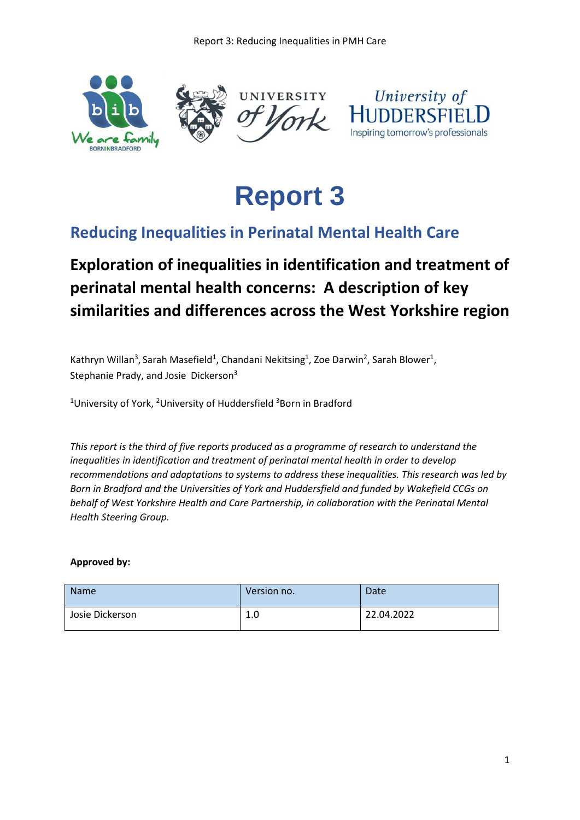



## **Reducing Inequalities in Perinatal Mental Health Care**

# **Exploration of inequalities in identification and treatment of perinatal mental health concerns: A description of key similarities and differences across the West Yorkshire region**

Kathryn Willan<sup>3</sup>, Sarah Masefield<sup>1</sup>, Chandani Nekitsing<sup>1</sup>, Zoe Darwin<sup>2</sup>, Sarah Blower<sup>1</sup>, Stephanie Prady, and Josie Dickerson<sup>3</sup>

<sup>1</sup>University of York, <sup>2</sup>University of Huddersfield <sup>3</sup>Born in Bradford

*This report is the third of five reports produced as a programme of research to understand the inequalities in identification and treatment of perinatal mental health in order to develop recommendations and adaptations to systems to address these inequalities. This research was led by Born in Bradford and the Universities of York and Huddersfield and funded by Wakefield CCGs on behalf of West Yorkshire Health and Care Partnership, in collaboration with the Perinatal Mental Health Steering Group.*

#### **Approved by:**

| <b>Name</b>     | Version no. | Date       |
|-----------------|-------------|------------|
| Josie Dickerson | 1.0         | 22.04.2022 |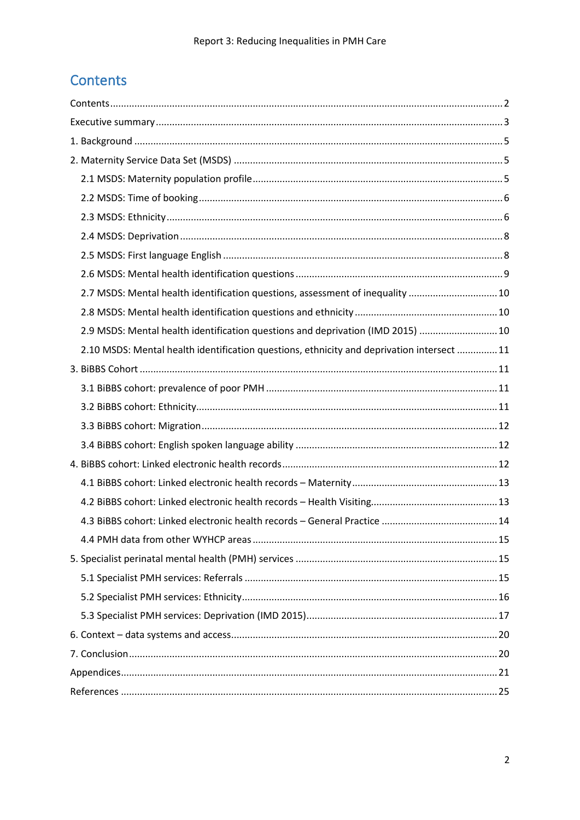## <span id="page-1-0"></span>Contents

| 2.7 MSDS: Mental health identification questions, assessment of inequality  10            |  |
|-------------------------------------------------------------------------------------------|--|
|                                                                                           |  |
| 2.9 MSDS: Mental health identification questions and deprivation (IMD 2015)  10           |  |
| 2.10 MSDS: Mental health identification questions, ethnicity and deprivation intersect 11 |  |
|                                                                                           |  |
|                                                                                           |  |
|                                                                                           |  |
|                                                                                           |  |
|                                                                                           |  |
|                                                                                           |  |
|                                                                                           |  |
|                                                                                           |  |
|                                                                                           |  |
|                                                                                           |  |
|                                                                                           |  |
|                                                                                           |  |
|                                                                                           |  |
|                                                                                           |  |
|                                                                                           |  |
|                                                                                           |  |
|                                                                                           |  |
|                                                                                           |  |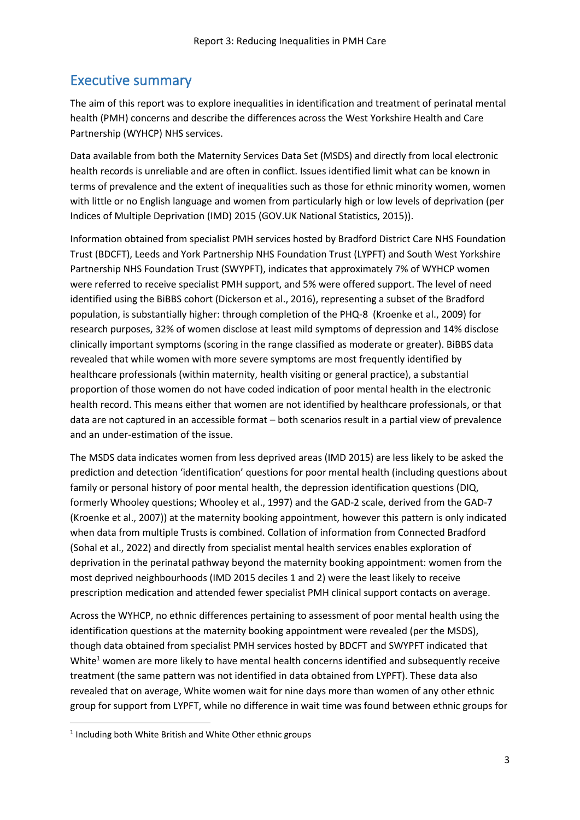## <span id="page-2-0"></span>Executive summary

The aim of this report was to explore inequalities in identification and treatment of perinatal mental health (PMH) concerns and describe the differences across the West Yorkshire Health and Care Partnership (WYHCP) NHS services.

Data available from both the Maternity Services Data Set (MSDS) and directly from local electronic health records is unreliable and are often in conflict. Issues identified limit what can be known in terms of prevalence and the extent of inequalities such as those for ethnic minority women, women with little or no English language and women from particularly high or low levels of deprivation (per Indices of Multiple Deprivation (IMD) 2015 (GOV.UK National Statistics, 2015)).

Information obtained from specialist PMH services hosted by Bradford District Care NHS Foundation Trust (BDCFT), Leeds and York Partnership NHS Foundation Trust (LYPFT) and South West Yorkshire Partnership NHS Foundation Trust (SWYPFT), indicates that approximately 7% of WYHCP women were referred to receive specialist PMH support, and 5% were offered support. The level of need identified using the BiBBS cohort (Dickerson et al., 2016), representing a subset of the Bradford population, is substantially higher: through completion of the PHQ-8 (Kroenke et al., 2009) for research purposes, 32% of women disclose at least mild symptoms of depression and 14% disclose clinically important symptoms (scoring in the range classified as moderate or greater). BiBBS data revealed that while women with more severe symptoms are most frequently identified by healthcare professionals (within maternity, health visiting or general practice), a substantial proportion of those women do not have coded indication of poor mental health in the electronic health record. This means either that women are not identified by healthcare professionals, or that data are not captured in an accessible format – both scenarios result in a partial view of prevalence and an under-estimation of the issue.

The MSDS data indicates women from less deprived areas (IMD 2015) are less likely to be asked the prediction and detection 'identification' questions for poor mental health (including questions about family or personal history of poor mental health, the depression identification questions (DIQ, formerly Whooley questions; Whooley et al., 1997) and the GAD-2 scale, derived from the GAD-7 (Kroenke et al., 2007)) at the maternity booking appointment, however this pattern is only indicated when data from multiple Trusts is combined. Collation of information from Connected Bradford (Sohal et al., 2022) and directly from specialist mental health services enables exploration of deprivation in the perinatal pathway beyond the maternity booking appointment: women from the most deprived neighbourhoods (IMD 2015 deciles 1 and 2) were the least likely to receive prescription medication and attended fewer specialist PMH clinical support contacts on average.

Across the WYHCP, no ethnic differences pertaining to assessment of poor mental health using the identification questions at the maternity booking appointment were revealed (per the MSDS), though data obtained from specialist PMH services hosted by BDCFT and SWYPFT indicated that White<sup>1</sup> women are more likely to have mental health concerns identified and subsequently receive treatment (the same pattern was not identified in data obtained from LYPFT). These data also revealed that on average, White women wait for nine days more than women of any other ethnic group for support from LYPFT, while no difference in wait time was found between ethnic groups for

<sup>&</sup>lt;sup>1</sup> Including both White British and White Other ethnic groups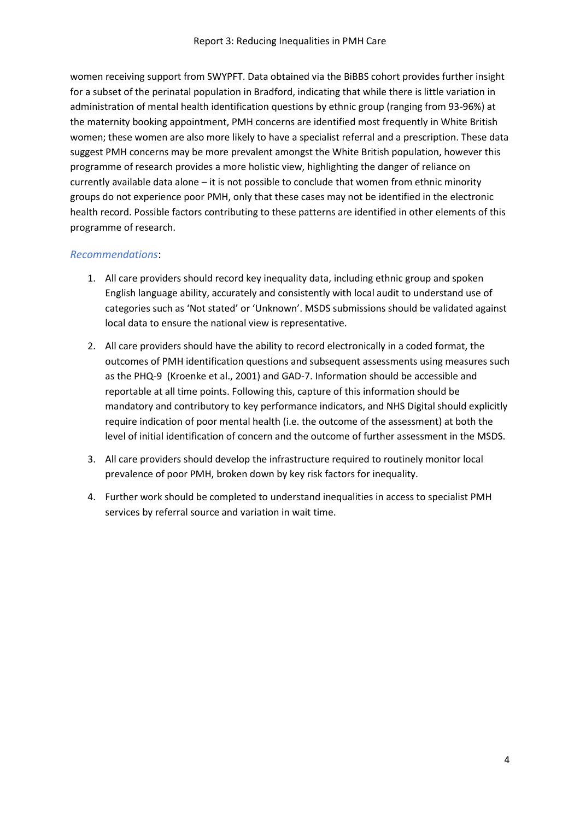women receiving support from SWYPFT. Data obtained via the BiBBS cohort provides further insight for a subset of the perinatal population in Bradford, indicating that while there is little variation in administration of mental health identification questions by ethnic group (ranging from 93-96%) at the maternity booking appointment, PMH concerns are identified most frequently in White British women; these women are also more likely to have a specialist referral and a prescription. These data suggest PMH concerns may be more prevalent amongst the White British population, however this programme of research provides a more holistic view, highlighting the danger of reliance on currently available data alone – it is not possible to conclude that women from ethnic minority groups do not experience poor PMH, only that these cases may not be identified in the electronic health record. Possible factors contributing to these patterns are identified in other elements of this programme of research.

#### *Recommendations*:

- 1. All care providers should record key inequality data, including ethnic group and spoken English language ability, accurately and consistently with local audit to understand use of categories such as 'Not stated' or 'Unknown'. MSDS submissions should be validated against local data to ensure the national view is representative.
- 2. All care providers should have the ability to record electronically in a coded format, the outcomes of PMH identification questions and subsequent assessments using measures such as the PHQ-9 (Kroenke et al., 2001) and GAD-7. Information should be accessible and reportable at all time points. Following this, capture of this information should be mandatory and contributory to key performance indicators, and NHS Digital should explicitly require indication of poor mental health (i.e. the outcome of the assessment) at both the level of initial identification of concern and the outcome of further assessment in the MSDS.
- 3. All care providers should develop the infrastructure required to routinely monitor local prevalence of poor PMH, broken down by key risk factors for inequality.
- 4. Further work should be completed to understand inequalities in access to specialist PMH services by referral source and variation in wait time.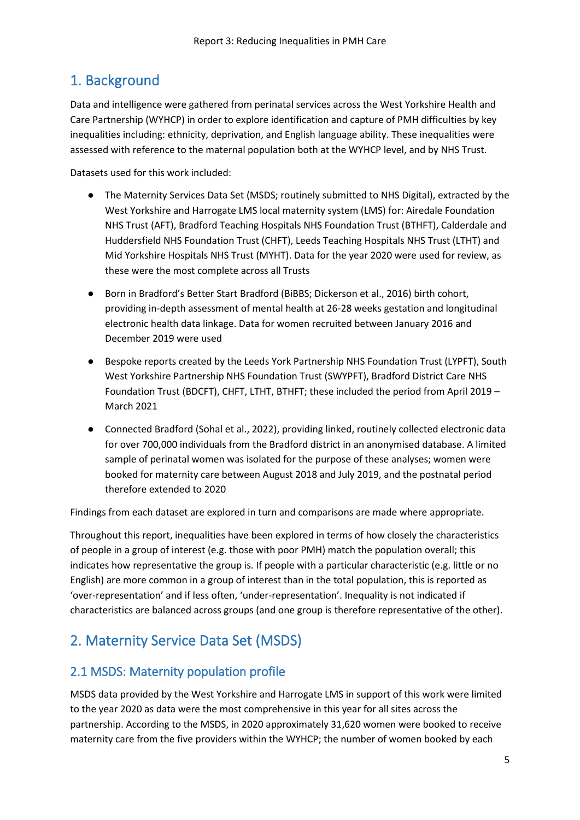## <span id="page-4-0"></span>1. Background

Data and intelligence were gathered from perinatal services across the West Yorkshire Health and Care Partnership (WYHCP) in order to explore identification and capture of PMH difficulties by key inequalities including: ethnicity, deprivation, and English language ability. These inequalities were assessed with reference to the maternal population both at the WYHCP level, and by NHS Trust.

Datasets used for this work included:

- The Maternity Services Data Set (MSDS; routinely submitted to NHS Digital), extracted by the West Yorkshire and Harrogate LMS local maternity system (LMS) for: Airedale Foundation NHS Trust (AFT), Bradford Teaching Hospitals NHS Foundation Trust (BTHFT), Calderdale and Huddersfield NHS Foundation Trust (CHFT), Leeds Teaching Hospitals NHS Trust (LTHT) and Mid Yorkshire Hospitals NHS Trust (MYHT). Data for the year 2020 were used for review, as these were the most complete across all Trusts
- Born in Bradford's Better Start Bradford (BiBBS; Dickerson et al., 2016) birth cohort, providing in-depth assessment of mental health at 26-28 weeks gestation and longitudinal electronic health data linkage. Data for women recruited between January 2016 and December 2019 were used
- Bespoke reports created by the Leeds York Partnership NHS Foundation Trust (LYPFT), South West Yorkshire Partnership NHS Foundation Trust (SWYPFT), Bradford District Care NHS Foundation Trust (BDCFT), CHFT, LTHT, BTHFT; these included the period from April 2019 – March 2021
- Connected Bradford (Sohal et al., 2022), providing linked, routinely collected electronic data for over 700,000 individuals from the Bradford district in an anonymised database. A limited sample of perinatal women was isolated for the purpose of these analyses; women were booked for maternity care between August 2018 and July 2019, and the postnatal period therefore extended to 2020

Findings from each dataset are explored in turn and comparisons are made where appropriate.

Throughout this report, inequalities have been explored in terms of how closely the characteristics of people in a group of interest (e.g. those with poor PMH) match the population overall; this indicates how representative the group is. If people with a particular characteristic (e.g. little or no English) are more common in a group of interest than in the total population, this is reported as 'over-representation' and if less often, 'under-representation'. Inequality is not indicated if characteristics are balanced across groups (and one group is therefore representative of the other).

## <span id="page-4-1"></span>2. Maternity Service Data Set (MSDS)

### <span id="page-4-2"></span>2.1 MSDS: Maternity population profile

MSDS data provided by the West Yorkshire and Harrogate LMS in support of this work were limited to the year 2020 as data were the most comprehensive in this year for all sites across the partnership. According to the MSDS, in 2020 approximately 31,620 women were booked to receive maternity care from the five providers within the WYHCP; the number of women booked by each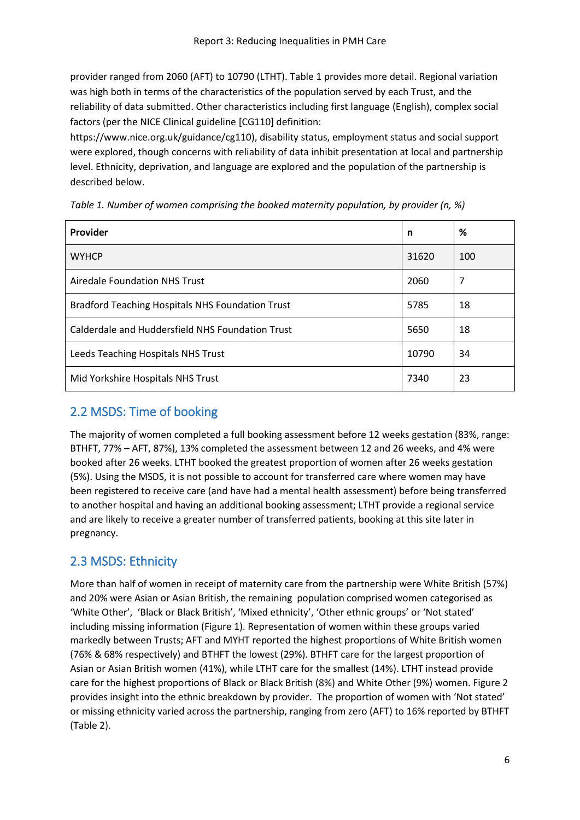provider ranged from 2060 (AFT) to 10790 (LTHT). Table 1 provides more detail. Regional variation was high both in terms of the characteristics of the population served by each Trust, and the reliability of data submitted. Other characteristics including first language (English), complex social factors (per the NICE Clinical guideline [CG110] definition:

https://www.nice.org.uk/guidance/cg110), disability status, employment status and social support were explored, though concerns with reliability of data inhibit presentation at local and partnership level. Ethnicity, deprivation, and language are explored and the population of the partnership is described below.

| Provider                                                | n     | %   |
|---------------------------------------------------------|-------|-----|
| <b>WYHCP</b>                                            | 31620 | 100 |
| Airedale Foundation NHS Trust                           | 2060  | 7   |
| <b>Bradford Teaching Hospitals NHS Foundation Trust</b> | 5785  | 18  |
| Calderdale and Huddersfield NHS Foundation Trust        | 5650  | 18  |
| Leeds Teaching Hospitals NHS Trust                      | 10790 | 34  |
| Mid Yorkshire Hospitals NHS Trust                       | 7340  | 23  |

*Table 1. Number of women comprising the booked maternity population, by provider (n, %)*

## <span id="page-5-0"></span>2.2 MSDS: Time of booking

The majority of women completed a full booking assessment before 12 weeks gestation (83%, range: BTHFT, 77% – AFT, 87%), 13% completed the assessment between 12 and 26 weeks, and 4% were booked after 26 weeks. LTHT booked the greatest proportion of women after 26 weeks gestation (5%). Using the MSDS, it is not possible to account for transferred care where women may have been registered to receive care (and have had a mental health assessment) before being transferred to another hospital and having an additional booking assessment; LTHT provide a regional service and are likely to receive a greater number of transferred patients, booking at this site later in pregnancy.

## <span id="page-5-1"></span>2.3 MSDS: Ethnicity

More than half of women in receipt of maternity care from the partnership were White British (57%) and 20% were Asian or Asian British, the remaining population comprised women categorised as 'White Other', 'Black or Black British', 'Mixed ethnicity', 'Other ethnic groups' or 'Not stated' including missing information (Figure 1). Representation of women within these groups varied markedly between Trusts; AFT and MYHT reported the highest proportions of White British women (76% & 68% respectively) and BTHFT the lowest (29%). BTHFT care for the largest proportion of Asian or Asian British women (41%), while LTHT care for the smallest (14%). LTHT instead provide care for the highest proportions of Black or Black British (8%) and White Other (9%) women. Figure 2 provides insight into the ethnic breakdown by provider. The proportion of women with 'Not stated' or missing ethnicity varied across the partnership, ranging from zero (AFT) to 16% reported by BTHFT (Table 2).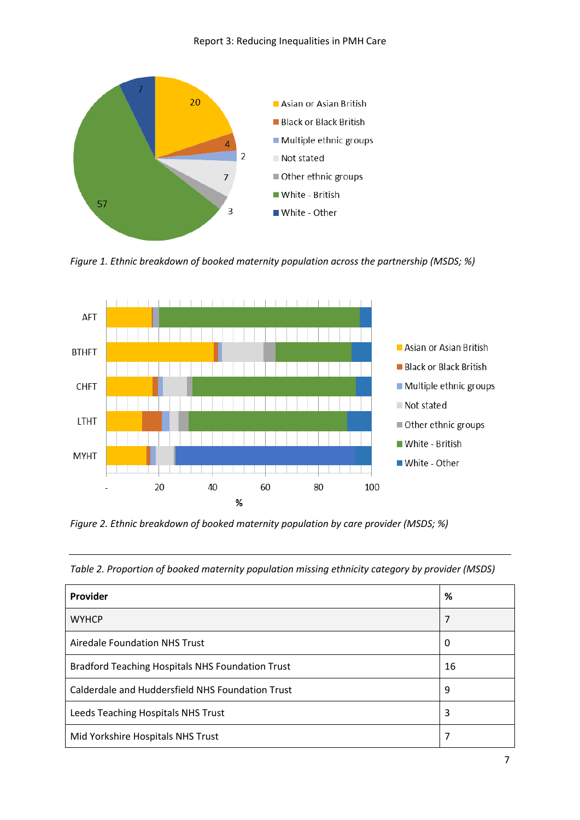

*Figure 1. Ethnic breakdown of booked maternity population across the partnership (MSDS; %)*



*Figure 2. Ethnic breakdown of booked maternity population by care provider (MSDS; %)*

*Table 2. Proportion of booked maternity population missing ethnicity category by provider (MSDS)*

| Provider                                                | %  |
|---------------------------------------------------------|----|
| <b>WYHCP</b>                                            | 7  |
| Airedale Foundation NHS Trust                           | 0  |
| <b>Bradford Teaching Hospitals NHS Foundation Trust</b> | 16 |
| Calderdale and Huddersfield NHS Foundation Trust        | 9  |
| Leeds Teaching Hospitals NHS Trust                      | 3  |
| Mid Yorkshire Hospitals NHS Trust                       | 7  |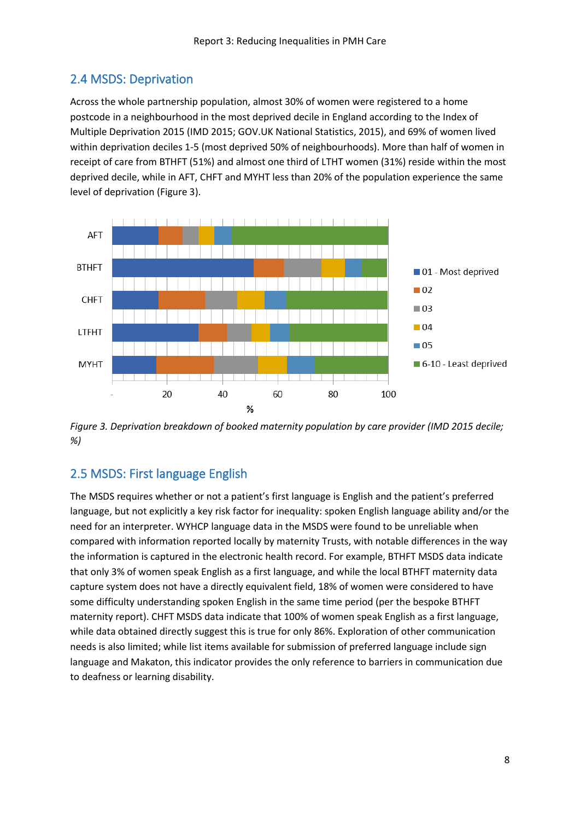## <span id="page-7-0"></span>2.4 MSDS: Deprivation

Across the whole partnership population, almost 30% of women were registered to a home postcode in a neighbourhood in the most deprived decile in England according to the Index of Multiple Deprivation 2015 (IMD 2015; GOV.UK National Statistics, 2015), and 69% of women lived within deprivation deciles 1-5 (most deprived 50% of neighbourhoods). More than half of women in receipt of care from BTHFT (51%) and almost one third of LTHT women (31%) reside within the most deprived decile, while in AFT, CHFT and MYHT less than 20% of the population experience the same level of deprivation (Figure 3).



*Figure 3. Deprivation breakdown of booked maternity population by care provider (IMD 2015 decile; %)*

## <span id="page-7-1"></span>2.5 MSDS: First language English

The MSDS requires whether or not a patient's first language is English and the patient's preferred language, but not explicitly a key risk factor for inequality: spoken English language ability and/or the need for an interpreter. WYHCP language data in the MSDS were found to be unreliable when compared with information reported locally by maternity Trusts, with notable differences in the way the information is captured in the electronic health record. For example, BTHFT MSDS data indicate that only 3% of women speak English as a first language, and while the local BTHFT maternity data capture system does not have a directly equivalent field, 18% of women were considered to have some difficulty understanding spoken English in the same time period (per the bespoke BTHFT maternity report). CHFT MSDS data indicate that 100% of women speak English as a first language, while data obtained directly suggest this is true for only 86%. Exploration of other communication needs is also limited; while list items available for submission of preferred language include sign language and Makaton, this indicator provides the only reference to barriers in communication due to deafness or learning disability.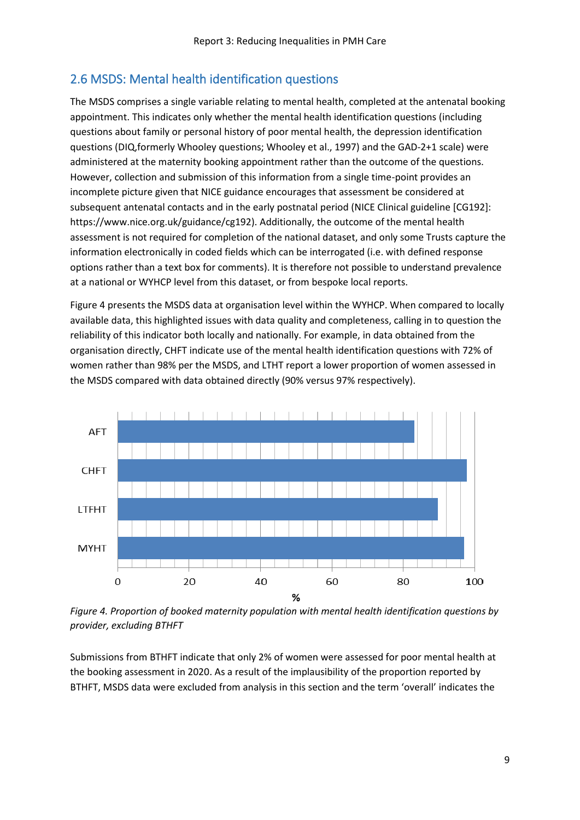### <span id="page-8-0"></span>2.6 MSDS: Mental health identification questions

The MSDS comprises a single variable relating to mental health, completed at the antenatal booking appointment. This indicates only whether the mental health identification questions (including questions about family or personal history of poor mental health, the depression identification questions (DIQ,formerly Whooley questions; Whooley et al., 1997) and the GAD-2+1 scale) were administered at the maternity booking appointment rather than the outcome of the questions. However, collection and submission of this information from a single time-point provides an incomplete picture given that NICE guidance encourages that assessment be considered at subsequent antenatal contacts and in the early postnatal period (NICE Clinical guideline [CG192]: https://www.nice.org.uk/guidance/cg192). Additionally, the outcome of the mental health assessment is not required for completion of the national dataset, and only some Trusts capture the information electronically in coded fields which can be interrogated (i.e. with defined response options rather than a text box for comments). It is therefore not possible to understand prevalence at a national or WYHCP level from this dataset, or from bespoke local reports.

Figure 4 presents the MSDS data at organisation level within the WYHCP. When compared to locally available data, this highlighted issues with data quality and completeness, calling in to question the reliability of this indicator both locally and nationally. For example, in data obtained from the organisation directly, CHFT indicate use of the mental health identification questions with 72% of women rather than 98% per the MSDS, and LTHT report a lower proportion of women assessed in the MSDS compared with data obtained directly (90% versus 97% respectively).



*Figure 4. Proportion of booked maternity population with mental health identification questions by provider, excluding BTHFT*

Submissions from BTHFT indicate that only 2% of women were assessed for poor mental health at the booking assessment in 2020. As a result of the implausibility of the proportion reported by BTHFT, MSDS data were excluded from analysis in this section and the term 'overall' indicates the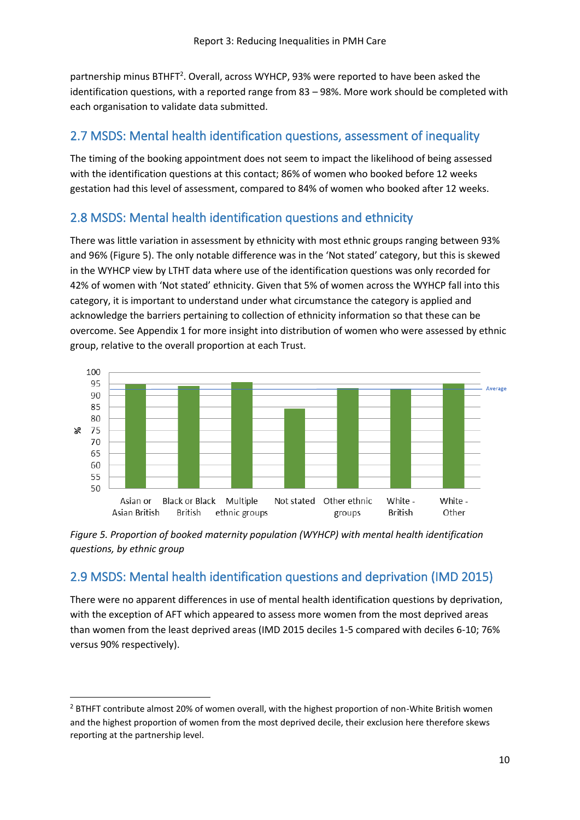partnership minus BTHFT<sup>2</sup>. Overall, across WYHCP, 93% were reported to have been asked the identification questions, with a reported range from 83 – 98%. More work should be completed with each organisation to validate data submitted.

### <span id="page-9-0"></span>2.7 MSDS: Mental health identification questions, assessment of inequality

The timing of the booking appointment does not seem to impact the likelihood of being assessed with the identification questions at this contact; 86% of women who booked before 12 weeks gestation had this level of assessment, compared to 84% of women who booked after 12 weeks.

### <span id="page-9-1"></span>2.8 MSDS: Mental health identification questions and ethnicity

There was little variation in assessment by ethnicity with most ethnic groups ranging between 93% and 96% (Figure 5). The only notable difference was in the 'Not stated' category, but this is skewed in the WYHCP view by LTHT data where use of the identification questions was only recorded for 42% of women with 'Not stated' ethnicity. Given that 5% of women across the WYHCP fall into this category, it is important to understand under what circumstance the category is applied and acknowledge the barriers pertaining to collection of ethnicity information so that these can be overcome. See Appendix 1 for more insight into distribution of women who were assessed by ethnic group, relative to the overall proportion at each Trust.





### <span id="page-9-2"></span>2.9 MSDS: Mental health identification questions and deprivation (IMD 2015)

There were no apparent differences in use of mental health identification questions by deprivation, with the exception of AFT which appeared to assess more women from the most deprived areas than women from the least deprived areas (IMD 2015 deciles 1-5 compared with deciles 6-10; 76% versus 90% respectively).

 $2$  BTHFT contribute almost 20% of women overall, with the highest proportion of non-White British women and the highest proportion of women from the most deprived decile, their exclusion here therefore skews reporting at the partnership level.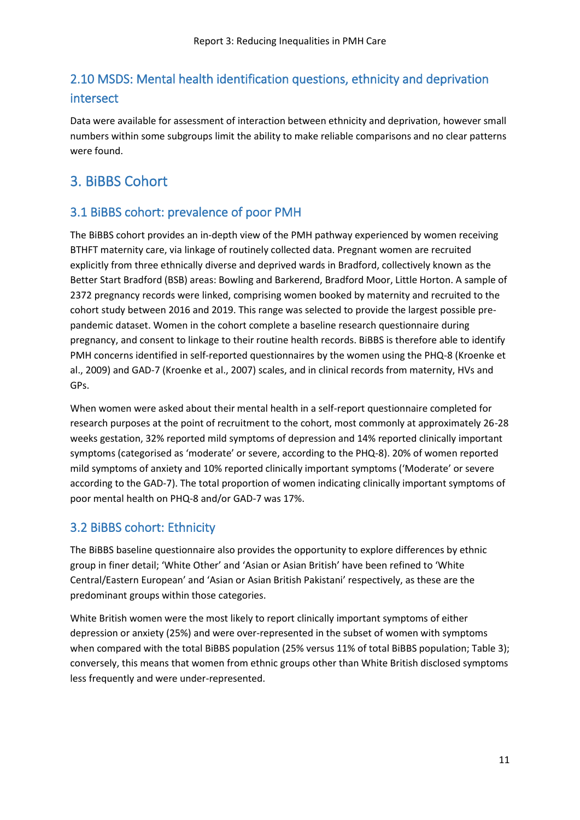## <span id="page-10-0"></span>2.10 MSDS: Mental health identification questions, ethnicity and deprivation intersect

Data were available for assessment of interaction between ethnicity and deprivation, however small numbers within some subgroups limit the ability to make reliable comparisons and no clear patterns were found.

## <span id="page-10-1"></span>3. BiBBS Cohort

### <span id="page-10-2"></span>3.1 BiBBS cohort: prevalence of poor PMH

The BiBBS cohort provides an in-depth view of the PMH pathway experienced by women receiving BTHFT maternity care, via linkage of routinely collected data. Pregnant women are recruited explicitly from three ethnically diverse and deprived wards in Bradford, collectively known as the Better Start Bradford (BSB) areas: Bowling and Barkerend, Bradford Moor, Little Horton. A sample of 2372 pregnancy records were linked, comprising women booked by maternity and recruited to the cohort study between 2016 and 2019. This range was selected to provide the largest possible prepandemic dataset. Women in the cohort complete a baseline research questionnaire during pregnancy, and consent to linkage to their routine health records. BiBBS is therefore able to identify PMH concerns identified in self-reported questionnaires by the women using the PHQ-8 (Kroenke et al., 2009) and GAD-7 (Kroenke et al., 2007) scales, and in clinical records from maternity, HVs and GPs.

When women were asked about their mental health in a self-report questionnaire completed for research purposes at the point of recruitment to the cohort, most commonly at approximately 26-28 weeks gestation, 32% reported mild symptoms of depression and 14% reported clinically important symptoms (categorised as 'moderate' or severe, according to the PHQ-8). 20% of women reported mild symptoms of anxiety and 10% reported clinically important symptoms ('Moderate' or severe according to the GAD-7). The total proportion of women indicating clinically important symptoms of poor mental health on PHQ-8 and/or GAD-7 was 17%.

### <span id="page-10-3"></span>3.2 BiBBS cohort: Ethnicity

The BiBBS baseline questionnaire also provides the opportunity to explore differences by ethnic group in finer detail; 'White Other' and 'Asian or Asian British' have been refined to 'White Central/Eastern European' and 'Asian or Asian British Pakistani' respectively, as these are the predominant groups within those categories.

White British women were the most likely to report clinically important symptoms of either depression or anxiety (25%) and were over-represented in the subset of women with symptoms when compared with the total BiBBS population (25% versus 11% of total BiBBS population; Table 3); conversely, this means that women from ethnic groups other than White British disclosed symptoms less frequently and were under-represented.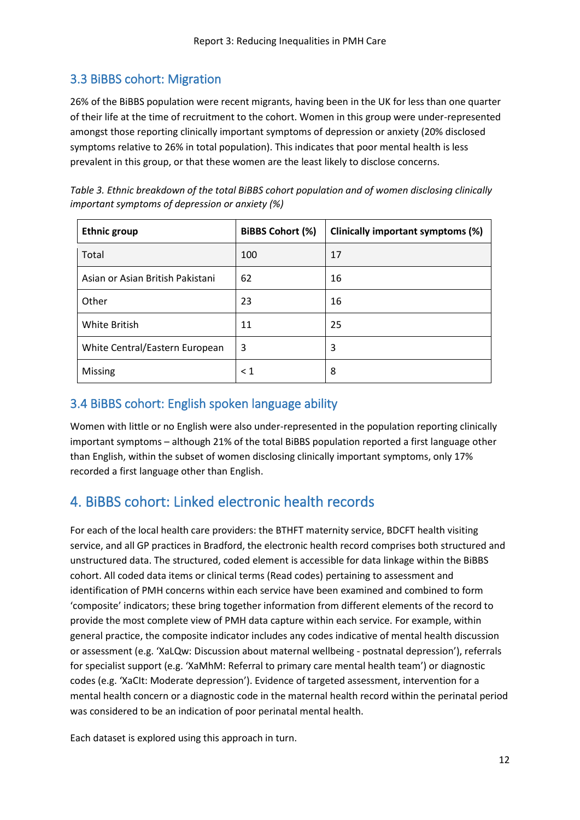## <span id="page-11-0"></span>3.3 BiBBS cohort: Migration

26% of the BiBBS population were recent migrants, having been in the UK for less than one quarter of their life at the time of recruitment to the cohort. Women in this group were under-represented amongst those reporting clinically important symptoms of depression or anxiety (20% disclosed symptoms relative to 26% in total population). This indicates that poor mental health is less prevalent in this group, or that these women are the least likely to disclose concerns.

| important symptoms of depression or anxiety (%)                                                   |  |  |  |
|---------------------------------------------------------------------------------------------------|--|--|--|
| Table 3. Ethnic breakdown of the total BiBBS cohort population and of women disclosing clinically |  |  |  |

| <b>Ethnic group</b>              | <b>BiBBS Cohort (%)</b> | Clinically important symptoms (%) |
|----------------------------------|-------------------------|-----------------------------------|
| Total                            | 100                     | 17                                |
| Asian or Asian British Pakistani | 62                      | 16                                |
| Other                            | 23                      | 16                                |
| White British                    | 11                      | 25                                |
| White Central/Eastern European   | 3                       | 3                                 |
| Missing                          | $\leq 1$                | 8                                 |

### <span id="page-11-1"></span>3.4 BiBBS cohort: English spoken language ability

Women with little or no English were also under-represented in the population reporting clinically important symptoms – although 21% of the total BiBBS population reported a first language other than English, within the subset of women disclosing clinically important symptoms, only 17% recorded a first language other than English.

## <span id="page-11-2"></span>4. BiBBS cohort: Linked electronic health records

For each of the local health care providers: the BTHFT maternity service, BDCFT health visiting service, and all GP practices in Bradford, the electronic health record comprises both structured and unstructured data. The structured, coded element is accessible for data linkage within the BiBBS cohort. All coded data items or clinical terms (Read codes) pertaining to assessment and identification of PMH concerns within each service have been examined and combined to form 'composite' indicators; these bring together information from different elements of the record to provide the most complete view of PMH data capture within each service. For example, within general practice, the composite indicator includes any codes indicative of mental health discussion or assessment (e.g. 'XaLQw: Discussion about maternal wellbeing - postnatal depression'), referrals for specialist support (e.g. 'XaMhM: Referral to primary care mental health team') or diagnostic codes (e.g. 'XaCIt: Moderate depression'). Evidence of targeted assessment, intervention for a mental health concern or a diagnostic code in the maternal health record within the perinatal period was considered to be an indication of poor perinatal mental health.

Each dataset is explored using this approach in turn.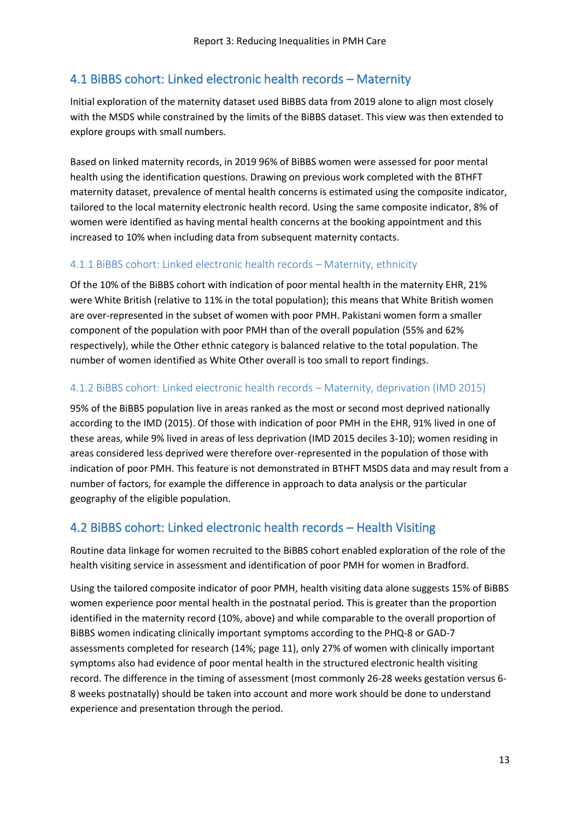## <span id="page-12-0"></span>4.1 BiBBS cohort: Linked electronic health records – Maternity

Initial exploration of the maternity dataset used BiBBS data from 2019 alone to align most closely with the MSDS while constrained by the limits of the BiBBS dataset. This view was then extended to explore groups with small numbers.

Based on linked maternity records, in 2019 96% of BiBBS women were assessed for poor mental health using the identification questions. Drawing on previous work completed with the BTHFT maternity dataset, prevalence of mental health concerns is estimated using the composite indicator, tailored to the local maternity electronic health record. Using the same composite indicator, 8% of women were identified as having mental health concerns at the booking appointment and this increased to 10% when including data from subsequent maternity contacts.

#### 4.1.1 BiBBS cohort: Linked electronic health records – Maternity, ethnicity

Of the 10% of the BiBBS cohort with indication of poor mental health in the maternity EHR, 21% were White British (relative to 11% in the total population); this means that White British women are over-represented in the subset of women with poor PMH. Pakistani women form a smaller component of the population with poor PMH than of the overall population (55% and 62% respectively), while the Other ethnic category is balanced relative to the total population. The number of women identified as White Other overall is too small to report findings.

#### 4.1.2 BiBBS cohort: Linked electronic health records – Maternity, deprivation (IMD 2015)

95% of the BiBBS population live in areas ranked as the most or second most deprived nationally according to the IMD (2015). Of those with indication of poor PMH in the EHR, 91% lived in one of these areas, while 9% lived in areas of less deprivation (IMD 2015 deciles 3-10); women residing in areas considered less deprived were therefore over-represented in the population of those with indication of poor PMH. This feature is not demonstrated in BTHFT MSDS data and may result from a number of factors, for example the difference in approach to data analysis or the particular geography of the eligible population.

### <span id="page-12-1"></span>4.2 BiBBS cohort: Linked electronic health records – Health Visiting

Routine data linkage for women recruited to the BiBBS cohort enabled exploration of the role of the health visiting service in assessment and identification of poor PMH for women in Bradford.

Using the tailored composite indicator of poor PMH, health visiting data alone suggests 15% of BiBBS women experience poor mental health in the postnatal period. This is greater than the proportion identified in the maternity record (10%, above) and while comparable to the overall proportion of BiBBS women indicating clinically important symptoms according to the PHQ-8 or GAD-7 assessments completed for research (14%; page 11), only 27% of women with clinically important symptoms also had evidence of poor mental health in the structured electronic health visiting record. The difference in the timing of assessment (most commonly 26-28 weeks gestation versus 6- 8 weeks postnatally) should be taken into account and more work should be done to understand experience and presentation through the period.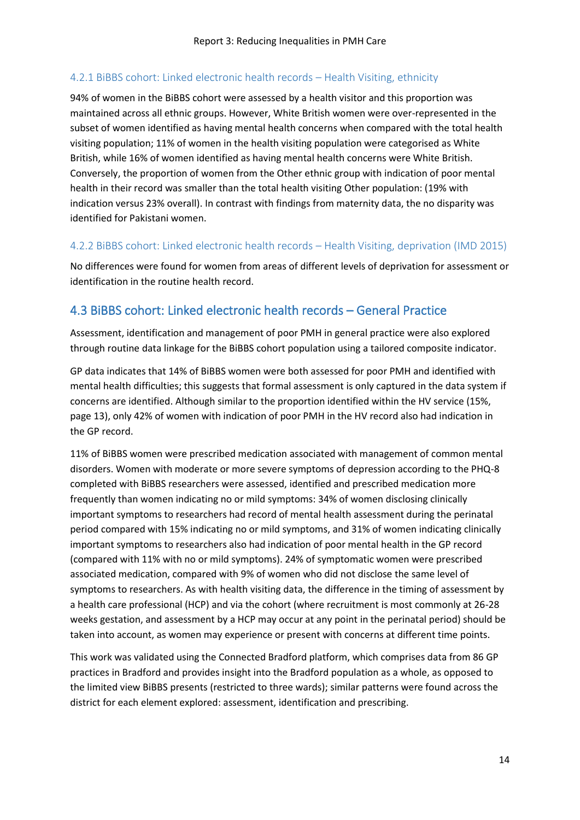#### 4.2.1 BiBBS cohort: Linked electronic health records – Health Visiting, ethnicity

94% of women in the BiBBS cohort were assessed by a health visitor and this proportion was maintained across all ethnic groups. However, White British women were over-represented in the subset of women identified as having mental health concerns when compared with the total health visiting population; 11% of women in the health visiting population were categorised as White British, while 16% of women identified as having mental health concerns were White British. Conversely, the proportion of women from the Other ethnic group with indication of poor mental health in their record was smaller than the total health visiting Other population: (19% with indication versus 23% overall). In contrast with findings from maternity data, the no disparity was identified for Pakistani women.

#### 4.2.2 BiBBS cohort: Linked electronic health records – Health Visiting, deprivation (IMD 2015)

No differences were found for women from areas of different levels of deprivation for assessment or identification in the routine health record.

### <span id="page-13-0"></span>4.3 BiBBS cohort: Linked electronic health records – General Practice

Assessment, identification and management of poor PMH in general practice were also explored through routine data linkage for the BiBBS cohort population using a tailored composite indicator.

GP data indicates that 14% of BiBBS women were both assessed for poor PMH and identified with mental health difficulties; this suggests that formal assessment is only captured in the data system if concerns are identified. Although similar to the proportion identified within the HV service (15%, page 13), only 42% of women with indication of poor PMH in the HV record also had indication in the GP record.

11% of BiBBS women were prescribed medication associated with management of common mental disorders. Women with moderate or more severe symptoms of depression according to the PHQ-8 completed with BiBBS researchers were assessed, identified and prescribed medication more frequently than women indicating no or mild symptoms: 34% of women disclosing clinically important symptoms to researchers had record of mental health assessment during the perinatal period compared with 15% indicating no or mild symptoms, and 31% of women indicating clinically important symptoms to researchers also had indication of poor mental health in the GP record (compared with 11% with no or mild symptoms). 24% of symptomatic women were prescribed associated medication, compared with 9% of women who did not disclose the same level of symptoms to researchers. As with health visiting data, the difference in the timing of assessment by a health care professional (HCP) and via the cohort (where recruitment is most commonly at 26-28 weeks gestation, and assessment by a HCP may occur at any point in the perinatal period) should be taken into account, as women may experience or present with concerns at different time points.

This work was validated using the Connected Bradford platform, which comprises data from 86 GP practices in Bradford and provides insight into the Bradford population as a whole, as opposed to the limited view BiBBS presents (restricted to three wards); similar patterns were found across the district for each element explored: assessment, identification and prescribing.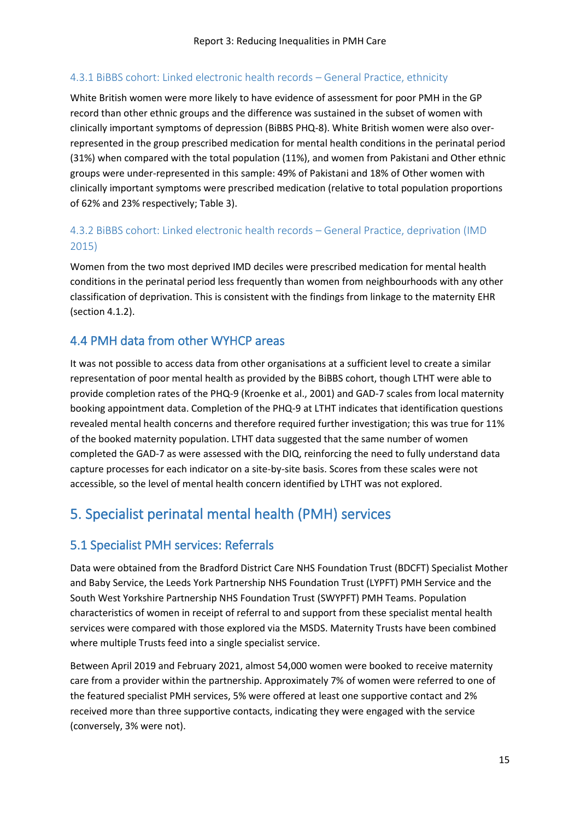#### 4.3.1 BiBBS cohort: Linked electronic health records – General Practice, ethnicity

White British women were more likely to have evidence of assessment for poor PMH in the GP record than other ethnic groups and the difference was sustained in the subset of women with clinically important symptoms of depression (BiBBS PHQ-8). White British women were also overrepresented in the group prescribed medication for mental health conditions in the perinatal period (31%) when compared with the total population (11%), and women from Pakistani and Other ethnic groups were under-represented in this sample: 49% of Pakistani and 18% of Other women with clinically important symptoms were prescribed medication (relative to total population proportions of 62% and 23% respectively; Table 3).

#### 4.3.2 BiBBS cohort: Linked electronic health records – General Practice, deprivation (IMD 2015)

Women from the two most deprived IMD deciles were prescribed medication for mental health conditions in the perinatal period less frequently than women from neighbourhoods with any other classification of deprivation. This is consistent with the findings from linkage to the maternity EHR (section 4.1.2).

### <span id="page-14-0"></span>4.4 PMH data from other WYHCP areas

It was not possible to access data from other organisations at a sufficient level to create a similar representation of poor mental health as provided by the BiBBS cohort, though LTHT were able to provide completion rates of the PHQ-9 (Kroenke et al., 2001) and GAD-7 scales from local maternity booking appointment data. Completion of the PHQ-9 at LTHT indicates that identification questions revealed mental health concerns and therefore required further investigation; this was true for 11% of the booked maternity population. LTHT data suggested that the same number of women completed the GAD-7 as were assessed with the DIQ, reinforcing the need to fully understand data capture processes for each indicator on a site-by-site basis. Scores from these scales were not accessible, so the level of mental health concern identified by LTHT was not explored.

## <span id="page-14-1"></span>5. Specialist perinatal mental health (PMH) services

### <span id="page-14-2"></span>5.1 Specialist PMH services: Referrals

Data were obtained from the Bradford District Care NHS Foundation Trust (BDCFT) Specialist Mother and Baby Service, the Leeds York Partnership NHS Foundation Trust (LYPFT) PMH Service and the South West Yorkshire Partnership NHS Foundation Trust (SWYPFT) PMH Teams. Population characteristics of women in receipt of referral to and support from these specialist mental health services were compared with those explored via the MSDS. Maternity Trusts have been combined where multiple Trusts feed into a single specialist service.

Between April 2019 and February 2021, almost 54,000 women were booked to receive maternity care from a provider within the partnership. Approximately 7% of women were referred to one of the featured specialist PMH services, 5% were offered at least one supportive contact and 2% received more than three supportive contacts, indicating they were engaged with the service (conversely, 3% were not).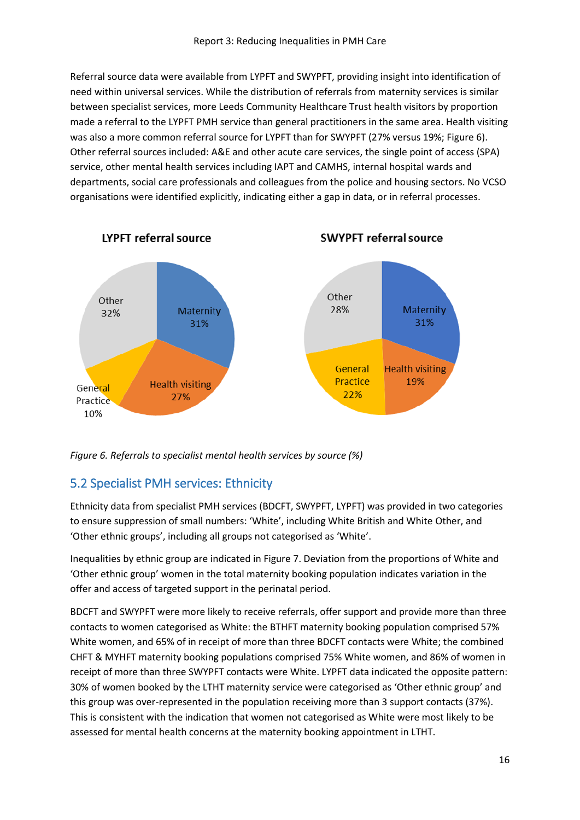Referral source data were available from LYPFT and SWYPFT, providing insight into identification of need within universal services. While the distribution of referrals from maternity services is similar between specialist services, more Leeds Community Healthcare Trust health visitors by proportion made a referral to the LYPFT PMH service than general practitioners in the same area. Health visiting was also a more common referral source for LYPFT than for SWYPFT (27% versus 19%; Figure 6). Other referral sources included: A&E and other acute care services, the single point of access (SPA) service, other mental health services including IAPT and CAMHS, internal hospital wards and departments, social care professionals and colleagues from the police and housing sectors. No VCSO organisations were identified explicitly, indicating either a gap in data, or in referral processes.



*Figure 6. Referrals to specialist mental health services by source (%)*

### <span id="page-15-0"></span>5.2 Specialist PMH services: Ethnicity

Ethnicity data from specialist PMH services (BDCFT, SWYPFT, LYPFT) was provided in two categories to ensure suppression of small numbers: 'White', including White British and White Other, and 'Other ethnic groups', including all groups not categorised as 'White'.

Inequalities by ethnic group are indicated in Figure 7. Deviation from the proportions of White and 'Other ethnic group' women in the total maternity booking population indicates variation in the offer and access of targeted support in the perinatal period.

BDCFT and SWYPFT were more likely to receive referrals, offer support and provide more than three contacts to women categorised as White: the BTHFT maternity booking population comprised 57% White women, and 65% of in receipt of more than three BDCFT contacts were White; the combined CHFT & MYHFT maternity booking populations comprised 75% White women, and 86% of women in receipt of more than three SWYPFT contacts were White. LYPFT data indicated the opposite pattern: 30% of women booked by the LTHT maternity service were categorised as 'Other ethnic group' and this group was over-represented in the population receiving more than 3 support contacts (37%). This is consistent with the indication that women not categorised as White were most likely to be assessed for mental health concerns at the maternity booking appointment in LTHT.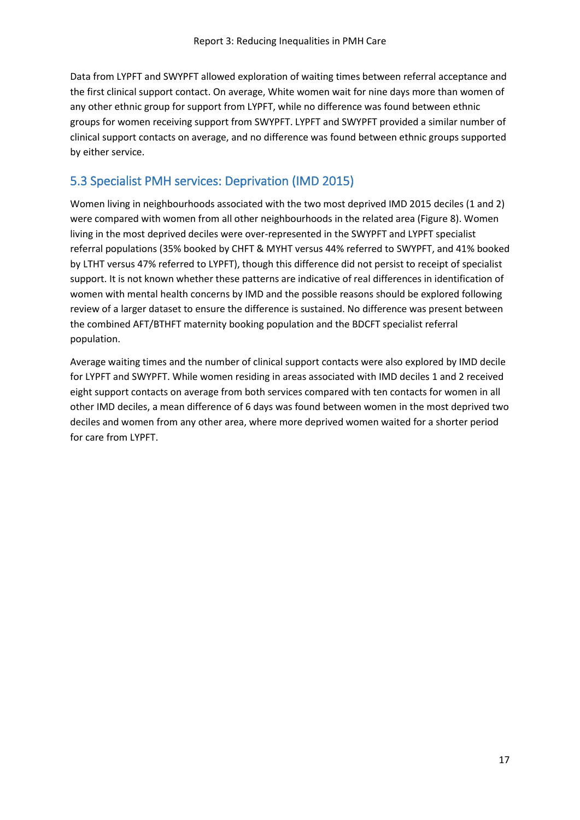Data from LYPFT and SWYPFT allowed exploration of waiting times between referral acceptance and the first clinical support contact. On average, White women wait for nine days more than women of any other ethnic group for support from LYPFT, while no difference was found between ethnic groups for women receiving support from SWYPFT. LYPFT and SWYPFT provided a similar number of clinical support contacts on average, and no difference was found between ethnic groups supported by either service.

### <span id="page-16-0"></span>5.3 Specialist PMH services: Deprivation (IMD 2015)

Women living in neighbourhoods associated with the two most deprived IMD 2015 deciles (1 and 2) were compared with women from all other neighbourhoods in the related area (Figure 8). Women living in the most deprived deciles were over-represented in the SWYPFT and LYPFT specialist referral populations (35% booked by CHFT & MYHT versus 44% referred to SWYPFT, and 41% booked by LTHT versus 47% referred to LYPFT), though this difference did not persist to receipt of specialist support. It is not known whether these patterns are indicative of real differences in identification of women with mental health concerns by IMD and the possible reasons should be explored following review of a larger dataset to ensure the difference is sustained. No difference was present between the combined AFT/BTHFT maternity booking population and the BDCFT specialist referral population.

Average waiting times and the number of clinical support contacts were also explored by IMD decile for LYPFT and SWYPFT. While women residing in areas associated with IMD deciles 1 and 2 received eight support contacts on average from both services compared with ten contacts for women in all other IMD deciles, a mean difference of 6 days was found between women in the most deprived two deciles and women from any other area, where more deprived women waited for a shorter period for care from LYPFT.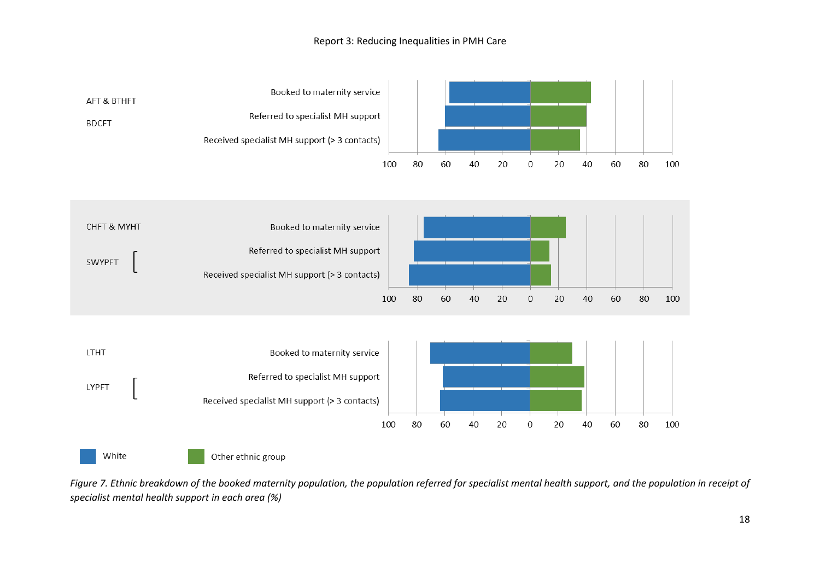#### Report 3: Reducing Inequalities in PMH Care



*Figure 7. Ethnic breakdown of the booked maternity population, the population referred for specialist mental health support, and the population in receipt of specialist mental health support in each area (%)*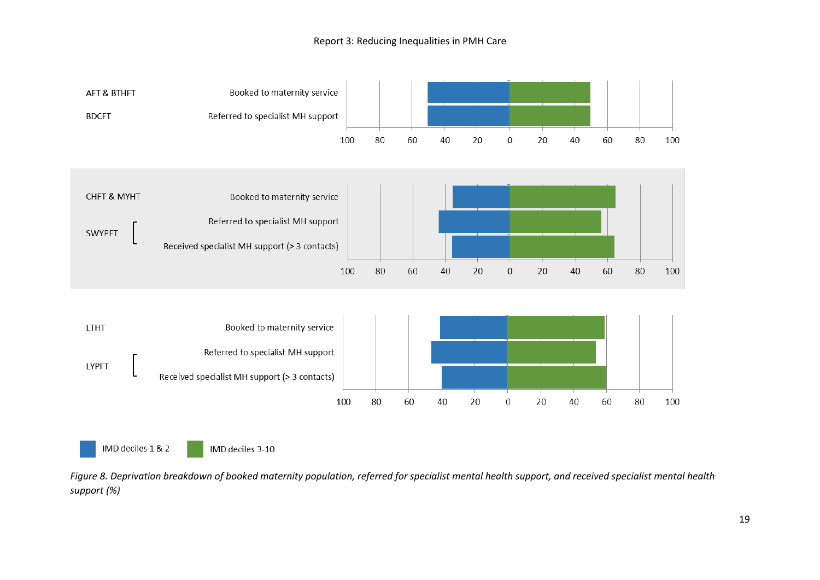#### Report 3: Reducing Inequalities in PMH Care



*Figure 8. Deprivation breakdown of booked maternity population, referred for specialist mental health support, and received specialist mental health support (%)*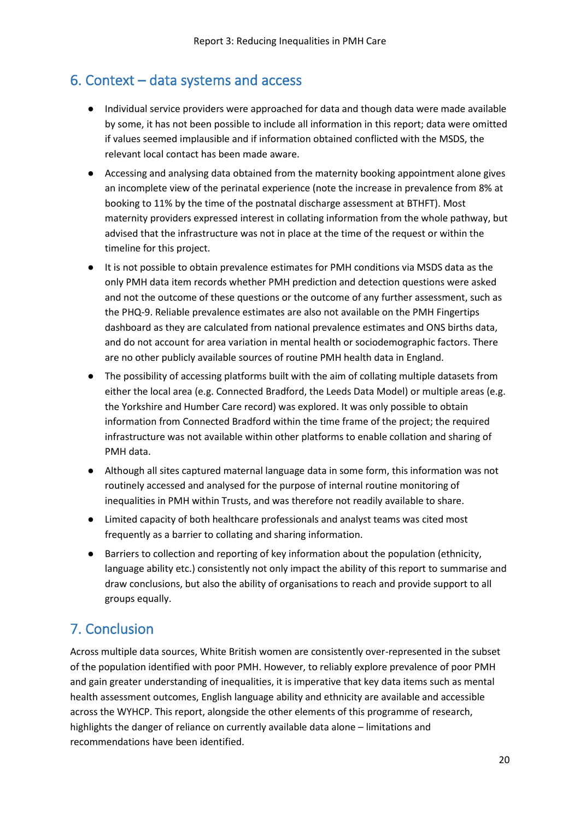## <span id="page-19-0"></span>6. Context – data systems and access

- Individual service providers were approached for data and though data were made available by some, it has not been possible to include all information in this report; data were omitted if values seemed implausible and if information obtained conflicted with the MSDS, the relevant local contact has been made aware.
- Accessing and analysing data obtained from the maternity booking appointment alone gives an incomplete view of the perinatal experience (note the increase in prevalence from 8% at booking to 11% by the time of the postnatal discharge assessment at BTHFT). Most maternity providers expressed interest in collating information from the whole pathway, but advised that the infrastructure was not in place at the time of the request or within the timeline for this project.
- It is not possible to obtain prevalence estimates for PMH conditions via MSDS data as the only PMH data item records whether PMH prediction and detection questions were asked and not the outcome of these questions or the outcome of any further assessment, such as the PHQ-9. Reliable prevalence estimates are also not available on the PMH Fingertips dashboard as they are calculated from national prevalence estimates and ONS births data, and do not account for area variation in mental health or sociodemographic factors. There are no other publicly available sources of routine PMH health data in England.
- The possibility of accessing platforms built with the aim of collating multiple datasets from either the local area (e.g. Connected Bradford, the Leeds Data Model) or multiple areas (e.g. the Yorkshire and Humber Care record) was explored. It was only possible to obtain information from Connected Bradford within the time frame of the project; the required infrastructure was not available within other platforms to enable collation and sharing of PMH data.
- Although all sites captured maternal language data in some form, this information was not routinely accessed and analysed for the purpose of internal routine monitoring of inequalities in PMH within Trusts, and was therefore not readily available to share.
- Limited capacity of both healthcare professionals and analyst teams was cited most frequently as a barrier to collating and sharing information.
- Barriers to collection and reporting of key information about the population (ethnicity, language ability etc.) consistently not only impact the ability of this report to summarise and draw conclusions, but also the ability of organisations to reach and provide support to all groups equally.

## <span id="page-19-1"></span>7. Conclusion

Across multiple data sources, White British women are consistently over-represented in the subset of the population identified with poor PMH. However, to reliably explore prevalence of poor PMH and gain greater understanding of inequalities, it is imperative that key data items such as mental health assessment outcomes, English language ability and ethnicity are available and accessible across the WYHCP. This report, alongside the other elements of this programme of research, highlights the danger of reliance on currently available data alone – limitations and recommendations have been identified.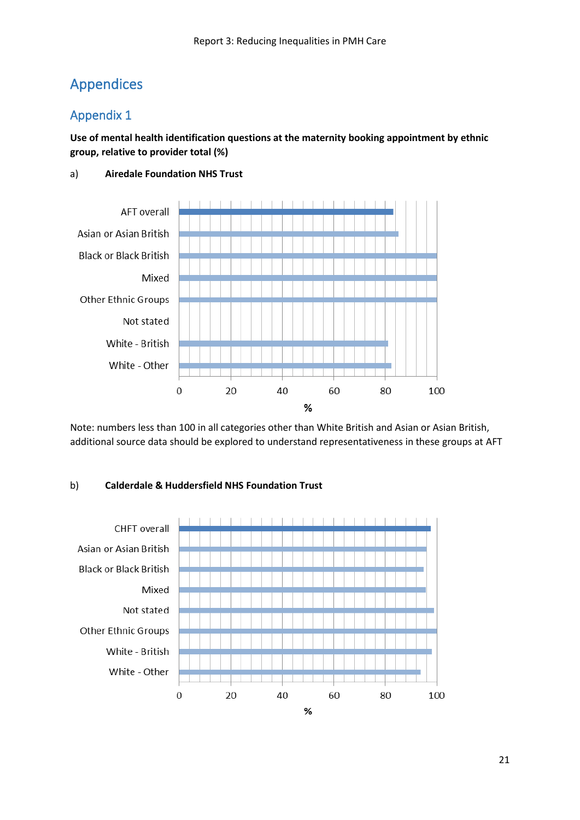## <span id="page-20-0"></span>Appendices

## Appendix 1

**Use of mental health identification questions at the maternity booking appointment by ethnic group, relative to provider total (%)**

#### a) **Airedale Foundation NHS Trust**



Note: numbers less than 100 in all categories other than White British and Asian or Asian British, additional source data should be explored to understand representativeness in these groups at AFT

#### b) **Calderdale & Huddersfield NHS Foundation Trust**

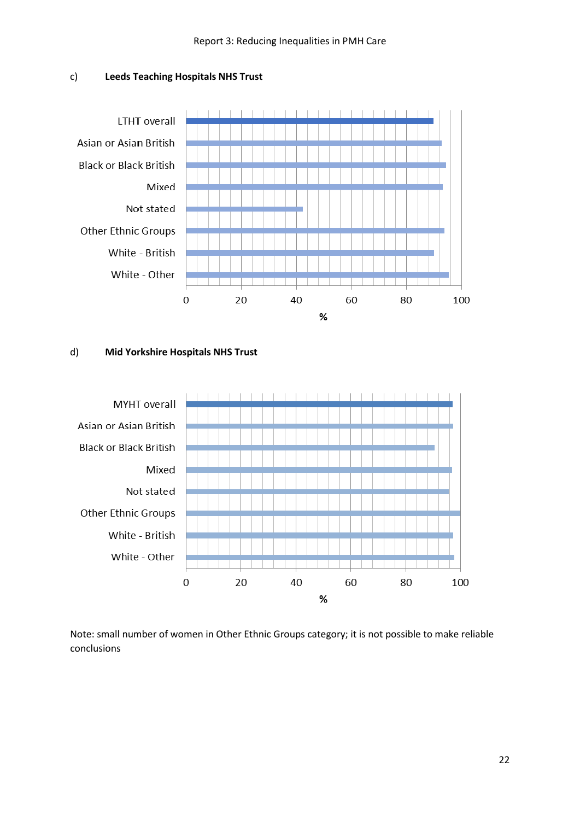



#### d) **Mid Yorkshire Hospitals NHS Trust**



Note: small number of women in Other Ethnic Groups category; it is not possible to make reliable conclusions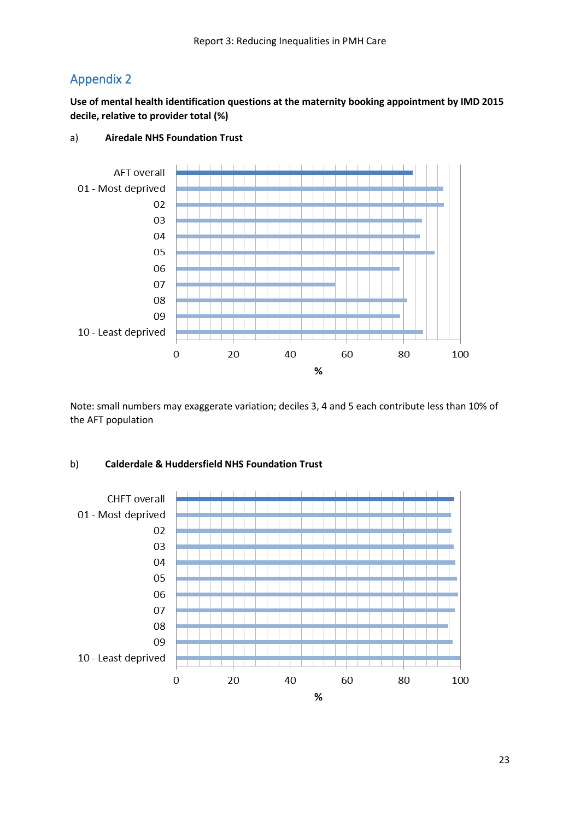## Appendix 2

**Use of mental health identification questions at the maternity booking appointment by IMD 2015 decile, relative to provider total (%)**



#### a) **Airedale NHS Foundation Trust**

Note: small numbers may exaggerate variation; deciles 3, 4 and 5 each contribute less than 10% of the AFT population

#### b) **Calderdale & Huddersfield NHS Foundation Trust**

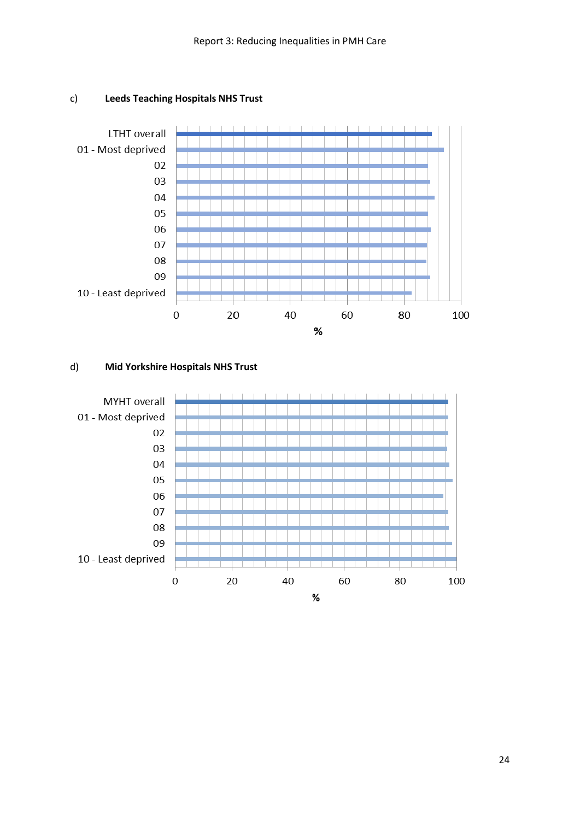

#### c) **Leeds Teaching Hospitals NHS Trust**

#### d) **Mid Yorkshire Hospitals NHS Trust**